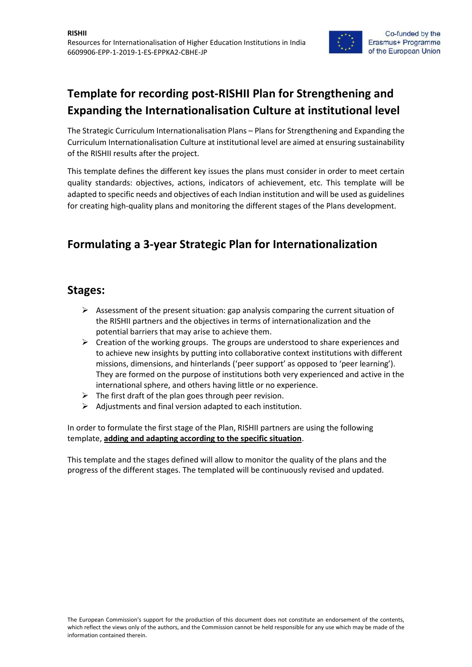

The Strategic Curriculum Internationalisation Plans – Plans for Strengthening and Expanding the Curriculum Internationalisation Culture at institutional level are aimed at ensuring sustainability of the RISHII results after the project.

This template defines the different key issues the plans must consider in order to meet certain quality standards: objectives, actions, indicators of achievement, etc. This template will be adapted to specific needs and objectives of each Indian institution and will be used as guidelines for creating high-quality plans and monitoring the different stages of the Plans development.

### **Formulating a 3-year Strategic Plan for Internationalization**

#### **Stages:**

- $\triangleright$  Assessment of the present situation: gap analysis comparing the current situation of the RISHII partners and the objectives in terms of internationalization and the potential barriers that may arise to achieve them.
- $\triangleright$  Creation of the working groups. The groups are understood to share experiences and to achieve new insights by putting into collaborative context institutions with different missions, dimensions, and hinterlands ('peer support' as opposed to 'peer learning'). They are formed on the purpose of institutions both very experienced and active in the international sphere, and others having little or no experience.
- $\triangleright$  The first draft of the plan goes through peer revision.
- $\triangleright$  Adjustments and final version adapted to each institution.

In order to formulate the first stage of the Plan, RISHII partners are using the following template, **adding and adapting according to the specific situation**.

This template and the stages defined will allow to monitor the quality of the plans and the progress of the different stages. The templated will be continuously revised and updated.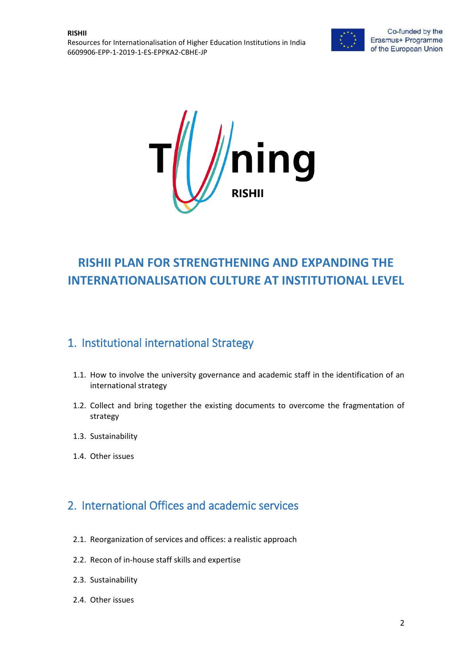



# **RISHII PLAN FOR STRENGTHENING AND EXPANDING THE INTERNATIONALISATION CULTURE AT INSTITUTIONAL LEVEL**

# 1. Institutional international Strategy

- 1.1. How to involve the university governance and academic staff in the identification of an international strategy
- 1.2. Collect and bring together the existing documents to overcome the fragmentation of strategy
- 1.3. Sustainability
- 1.4. Other issues

# 2. International Offices and academic services

- 2.1. Reorganization of services and offices: a realistic approach
- 2.2. Recon of in-house staff skills and expertise
- 2.3. Sustainability
- 2.4. Other issues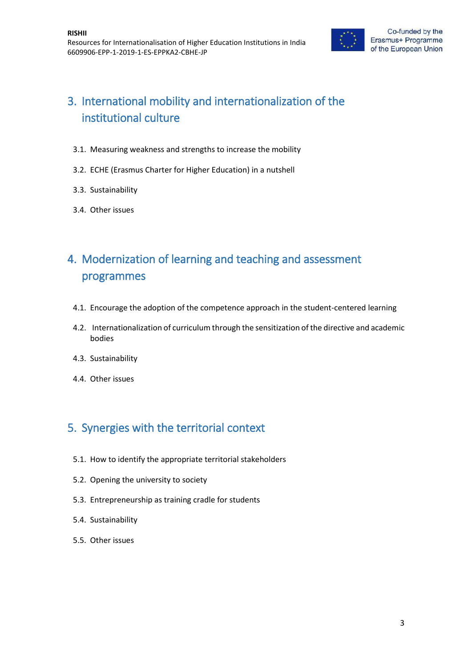

# 3. International mobility and internationalization of the institutional culture

- 3.1. Measuring weakness and strengths to increase the mobility
- 3.2. ECHE (Erasmus Charter for Higher Education) in a nutshell
- 3.3. Sustainability
- 3.4. Other issues

# 4. Modernization of learning and teaching and assessment programmes

- 4.1. Encourage the adoption of the competence approach in the student-centered learning
- 4.2. Internationalization of curriculum through the sensitization of the directive and academic bodies
- 4.3. Sustainability
- 4.4. Other issues

# 5. Synergies with the territorial context

- 5.1. How to identify the appropriate territorial stakeholders
- 5.2. Opening the university to society
- 5.3. Entrepreneurship as training cradle for students
- 5.4. Sustainability
- 5.5. Other issues